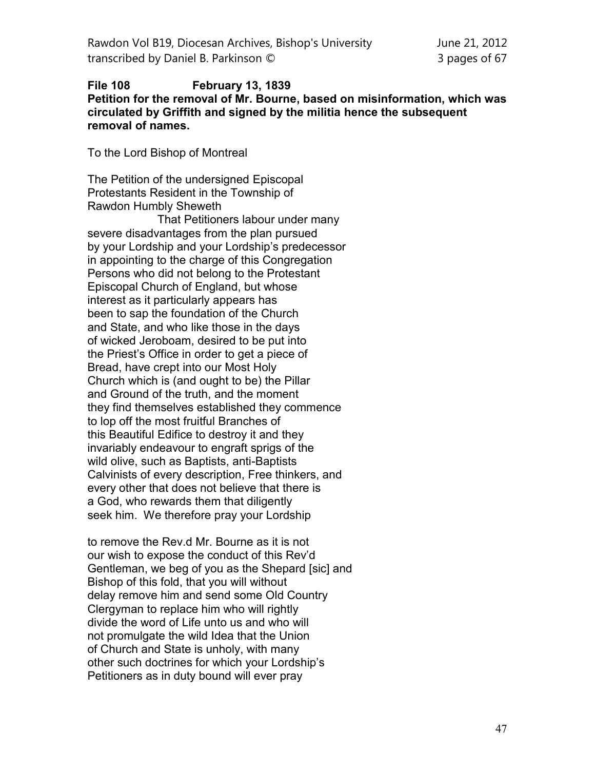## **File 108 February 13, 1839 Petition for the removal of Mr. Bourne, based on misinformation, which was circulated by Griffith and signed by the militia hence the subsequent removal of names.**

To the Lord Bishop of Montreal

The Petition of the undersigned Episcopal Protestants Resident in the Township of Rawdon Humbly Sheweth That Petitioners labour under many severe disadvantages from the plan pursued by your Lordship and your Lordship's predecessor in appointing to the charge of this Congregation Persons who did not belong to the Protestant Episcopal Church of England, but whose interest as it particularly appears has been to sap the foundation of the Church and State, and who like those in the days of wicked Jeroboam, desired to be put into the Priest's Office in order to get a piece of Bread, have crept into our Most Holy Church which is (and ought to be) the Pillar and Ground of the truth, and the moment they find themselves established they commence to lop off the most fruitful Branches of this Beautiful Edifice to destroy it and they invariably endeavour to engraft sprigs of the wild olive, such as Baptists, anti-Baptists Calvinists of every description, Free thinkers, and every other that does not believe that there is a God, who rewards them that diligently seek him. We therefore pray your Lordship

to remove the Rev.d Mr. Bourne as it is not our wish to expose the conduct of this Rev'd Gentleman, we beg of you as the Shepard [sic] and Bishop of this fold, that you will without delay remove him and send some Old Country Clergyman to replace him who will rightly divide the word of Life unto us and who will not promulgate the wild Idea that the Union of Church and State is unholy, with many other such doctrines for which your Lordship's Petitioners as in duty bound will ever pray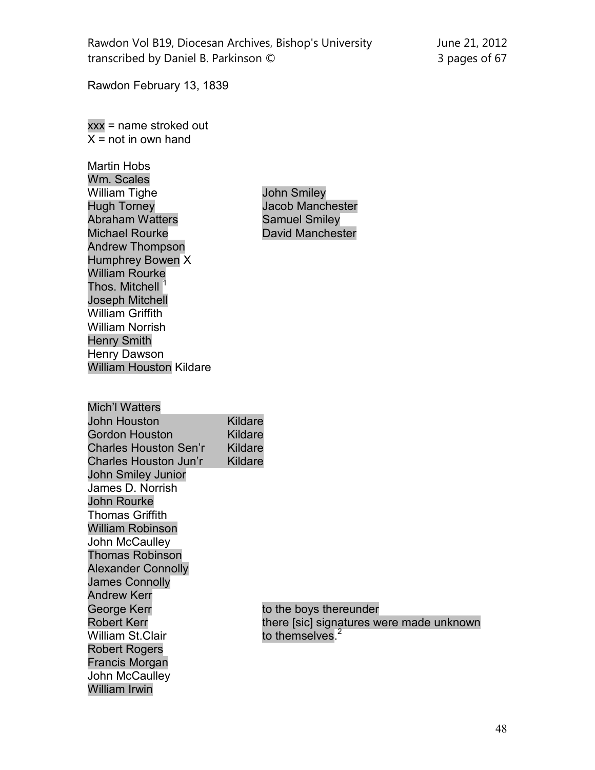Rawdon February 13, 1839

xxx = name stroked out  $\overline{X}$  = not in own hand

Martin Hobs Wm. Scales William Tighe **John Smiley<br>Hugh Torney Manch Jacob Manch** Abraham Watters **Samuel Smiley** Michael Rourke **David Manchester** Andrew Thompson Humphrey Bowen X William Rourke Thos. Mitchell <sup>1</sup> Joseph Mitchell William Griffith William Norrish Henry Smith Henry Dawson William Houston Kildare

Jacob Manchester

| <b>Mich'l Watters</b>        |                             |  |
|------------------------------|-----------------------------|--|
| John Houston                 | Kildare                     |  |
| Gordon Houston               | Kildare                     |  |
| <b>Charles Houston Sen'r</b> | Kildare                     |  |
| Charles Houston Jun'r        | Kildare                     |  |
| John Smiley Junior           |                             |  |
| James D. Norrish             |                             |  |
| <b>John Rourke</b>           |                             |  |
| <b>Thomas Griffith</b>       |                             |  |
| <b>William Robinson</b>      |                             |  |
| John McCaulley               |                             |  |
| <b>Thomas Robinson</b>       |                             |  |
| <b>Alexander Connolly</b>    |                             |  |
| <b>James Connolly</b>        |                             |  |
| <b>Andrew Kerr</b>           |                             |  |
| George Kerr                  | to the boys ther            |  |
| <b>Robert Kerr</b>           | there [sic] signa           |  |
| <b>William St.Clair</b>      | to themselves. <sup>2</sup> |  |
| Robert Rogers                |                             |  |
| Francis Morgan               |                             |  |
| John McCaulley               |                             |  |
| William Irwin                |                             |  |

to the boys thereunder there [sic] signatures were made unknown